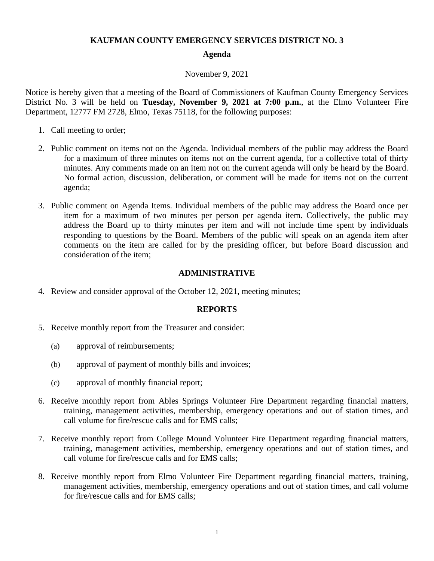## **KAUFMAN COUNTY EMERGENCY SERVICES DISTRICT NO. 3**

### **Agenda**

#### November 9, 2021

Notice is hereby given that a meeting of the Board of Commissioners of Kaufman County Emergency Services District No. 3 will be held on **Tuesday, November 9, 2021 at 7:00 p.m.**, at the Elmo Volunteer Fire Department, 12777 FM 2728, Elmo, Texas 75118, for the following purposes:

- 1. Call meeting to order;
- 2. Public comment on items not on the Agenda. Individual members of the public may address the Board for a maximum of three minutes on items not on the current agenda, for a collective total of thirty minutes. Any comments made on an item not on the current agenda will only be heard by the Board. No formal action, discussion, deliberation, or comment will be made for items not on the current agenda;
- 3. Public comment on Agenda Items. Individual members of the public may address the Board once per item for a maximum of two minutes per person per agenda item. Collectively, the public may address the Board up to thirty minutes per item and will not include time spent by individuals responding to questions by the Board. Members of the public will speak on an agenda item after comments on the item are called for by the presiding officer, but before Board discussion and consideration of the item;

### **ADMINISTRATIVE**

4. Review and consider approval of the October 12, 2021, meeting minutes;

#### **REPORTS**

- 5. Receive monthly report from the Treasurer and consider:
	- (a) approval of reimbursements;
	- (b) approval of payment of monthly bills and invoices;
	- (c) approval of monthly financial report;
- 6. Receive monthly report from Ables Springs Volunteer Fire Department regarding financial matters, training, management activities, membership, emergency operations and out of station times, and call volume for fire/rescue calls and for EMS calls;
- 7. Receive monthly report from College Mound Volunteer Fire Department regarding financial matters, training, management activities, membership, emergency operations and out of station times, and call volume for fire/rescue calls and for EMS calls;
- 8. Receive monthly report from Elmo Volunteer Fire Department regarding financial matters, training, management activities, membership, emergency operations and out of station times, and call volume for fire/rescue calls and for EMS calls;